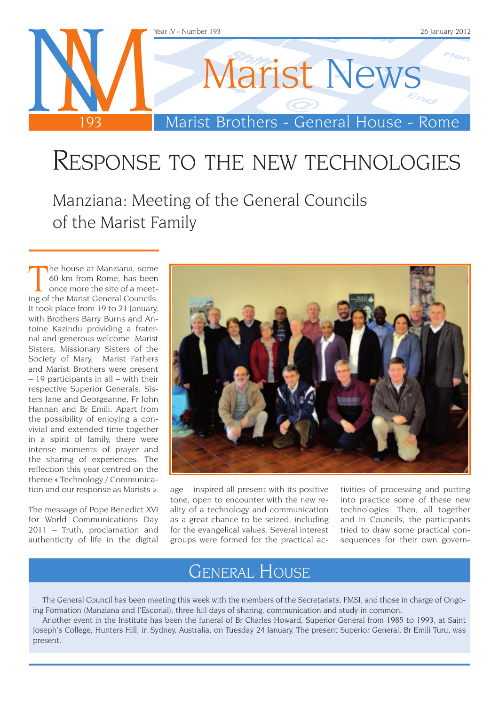

## Response to the new technologies

Manziana: Meeting of the General Councils of the Marist Family

The house at Manziana, some<br>60 km from Rome, has been<br>once more the site of a meet-<br>ing of the Marist General Councils. he house at Manziana, some 60 km from Rome, has been once more the site of a meet-It took place from 19 to 21 January, with Brothers Barry Burns and Antoine Kazindu providing a fraternal and generous welcome. Marist Sisters, Missionary Sisters of the Society of Mary, Marist Fathers and Marist Brothers were present – 19 participants in all – with their respective Superior Generals, Sisters Jane and Georgeanne, Fr John Hannan and Br Emili. Apart from the possibility of enjoying a convivial and extended time together in a spirit of family, there were intense moments of prayer and the sharing of experiences. The reflection this year centred on the theme « Technology / Communication and our response as Marists ».

The message of Pope Benedict XVI for World Communications Day 2011 – Truth, proclamation and authenticity of life in the digital



age – inspired all present with its positive tone, open to encounter with the new reality of a technology and communication as a great chance to be seized, including for the evangelical values. Several interest groups were formed for the practical activities of processing and putting into practice some of these new technologies. Then, all together and in Councils, the participants tried to draw some practical consequences for their own govern-

### General House

The General Council has been meeting this week with the members of the Secretariats, FMSI, and those in charge of Ongoing Formation (Manziana and l'Escorial), three full days of sharing, communication and study in common.

Another event in the Institute has been the funeral of Br Charles Howard, Superior General from 1985 to 1993, at Saint Joseph's College, Hunters Hill, in Sydney, Australia, on Tuesday 24 January. The present Superior General, Br Emili Turu, was present.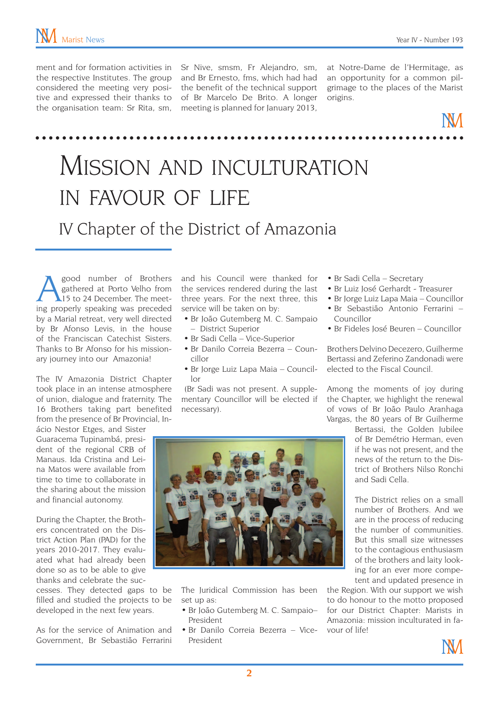considered the meeting very posi-

ment and for formation activities in Sr Nive, smsm, Fr Alejandro, sm, the respective Institutes. The group and Br Ernesto, fms, which had had tive and expressed their thanks to of Br Marcelo De Brito. A longer the organisation team: Sr Rita, sm, meeting is planned for January 2013, the benefit of the technical support

at Notre-Dame de l'Hermitage, as an opportunity for a common pilgrimage to the places of the Marist origins.

## Mission and inculturation in favour of life IV Chapter of the District of Amazonia

Supplementary of Brothers<br>
Supplementary of Brothers<br>
All to 24 December. The meet-<br>
Supplementary speaking was preceded gathered at Porto Velho from 15 to 24 December. The meeting properly speaking was preceded by a Marial retreat, very well directed by Br Afonso Levis, in the house of the Franciscan Catechist Sisters. Thanks to Br Afonso for his missionary journey into our Amazonia!

The IV Amazonia District Chapter took place in an intense atmosphere of union, dialogue and fraternity. The 16 Brothers taking part benefited from the presence of Br Provincial, In-

ácio Nestor Etges, and Sister Guaracema Tupinambá, president of the regional CRB of Manaus. Ida Cristina and Leina Matos were available from time to time to collaborate in the sharing about the mission and financial autonomy.

During the Chapter, the Brothers concentrated on the District Action Plan (PAD) for the years 2010-2017. They evaluated what had already been done so as to be able to give thanks and celebrate the suc-

cesses. They detected gaps to be filled and studied the projects to be developed in the next few years.

As for the service of Animation and Government, Br Sebastião Ferrarini and his Council were thanked for the services rendered during the last three years. For the next three, this service will be taken on by:

- • Br João Gutemberg M. C. Sampaio – District Superior
- Br Sadi Cella Vice-Superior
- Br Danilo Correia Bezerra Councillor
- Br Jorge Luiz Lapa Maia Councillor

 (Br Sadi was not present. A supplementary Councillor will be elected if necessary).

- • Br Sadi Cella Secretary
- Br Luiz José Gerhardt Treasurer
- Br Jorge Luiz Lapa Maia Councillor
- • Br Sebastião Antonio Ferrarini Councillor
- Br Fideles José Beuren Councillor

Brothers Delvino Decezero, Guilherme Bertassi and Zeferino Zandonadi were elected to the Fiscal Council.

Among the moments of joy during the Chapter, we highlight the renewal of vows of Br João Paulo Aranhaga Vargas, the 80 years of Br Guilherme

Bertassi, the Golden Jubilee of Br Demétrio Herman, even if he was not present, and the news of the return to the District of Brothers Nilso Ronchi and Sadi Cella.

The District relies on a small number of Brothers. And we are in the process of reducing the number of communities. But this small size witnesses to the contagious enthusiasm of the brothers and laity looking for an ever more competent and updated presence in

the Region. With our support we wish to do honour to the motto proposed for our District Chapter: Marists in Amazonia: mission inculturated in favour of life!



The Juridical Commission has been set up as:

- Br João Gutemberg M. C. Sampaio-President
- • Br Danilo Correia Bezerra Vice-President

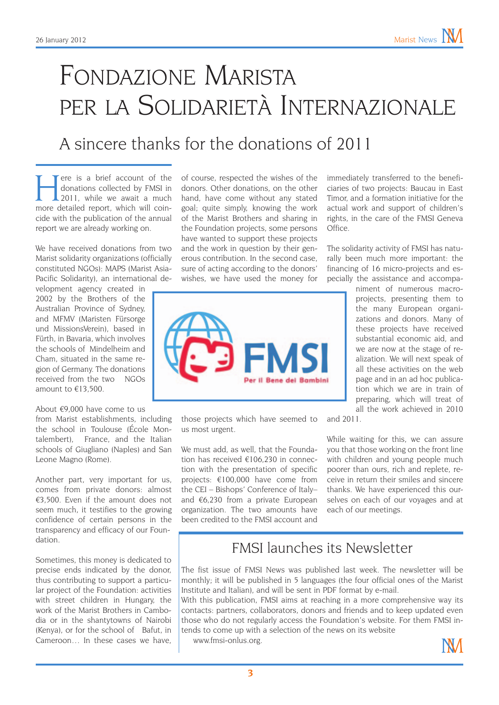## Fondazione Marista per la Solidarietà Internazionale

### A sincere thanks for the donations of 2011

ere is a brief account of the donations collected by FMSI in 2011, while we await a much more detailed report, which will coincide with the publication of the annual report we are already working on.

We have received donations from two Marist solidarity organizations (officially constituted NGOs): MAPS (Marist Asia-Pacific Solidarity), an international de-

velopment agency created in 2002 by the Brothers of the Australian Province of Sydney, and MFMV (Maristen Fürsorge und MissionsVerein), based in Fürth, in Bavaria, which involves the schools of Mindelheim and Cham, situated in the same region of Germany. The donations received from the two NGOs amount to €13,500.

#### About €9,000 have come to us

from Marist establishments, including the school in Toulouse (École Montalembert), France, and the Italian schools of Giugliano (Naples) and San Leone Magno (Rome).

Another part, very important for us, comes from private donors: almost €3,500. Even if the amount does not seem much, it testifies to the growing confidence of certain persons in the transparency and efficacy of our Foundation.

Sometimes, this money is dedicated to precise ends indicated by the donor, thus contributing to support a particular project of the Foundation: activities with street children in Hungary, the work of the Marist Brothers in Cambodia or in the shantytowns of Nairobi (Kenya), or for the school of Bafut, in Cameroon … In these cases we have

of course, respected the wishes of the donors. Other donations, on the other hand, have come without any stated goal; quite simply, knowing the work of the Marist Brothers and sharing in the Foundation projects, some persons have wanted to support these projects and the work in question by their generous contribution. In the second case, sure of acting according to the donors' wishes, we have used the money for



those projects which have seemed to us most urgent.

We must add, as well, that the Foundation has received €106,230 in connection with the presentation of specific projects: €100,000 have come from the CEI – Bishops' Conference of Italy– and €6,230 from a private European organization. The two amounts have been credited to the FMSI account and immediately transferred to the beneficiaries of two projects: Baucau in East Timor, and a formation initiative for the actual work and support of children's rights, in the care of the FMSI Geneva Office.

The solidarity activity of FMSI has naturally been much more important: the financing of 16 micro-projects and especially the assistance and accompa-

niment of numerous macroprojects, presenting them to the many European organizations and donors. Many of these projects have received substantial economic aid, and we are now at the stage of realization. We will next speak of all these activities on the web page and in an ad hoc publication which we are in train of preparing, which will treat of all the work achieved in 2010

and 2011.

While waiting for this, we can assure you that those working on the front line with children and young people much poorer than ours, rich and replete, receive in return their smiles and sincere thanks. We have experienced this ourselves on each of our voyages and at each of our meetings.

#### FMSI launches its Newsletter

The fist issue of FMSI News was published last week. The newsletter will be monthly; it will be published in 5 languages (the four official ones of the Marist Institute and Italian), and will be sent in PDF format by e-mail.

With this publication, FMSI aims at reaching in a more comprehensive way its contacts: partners, collaborators, donors and friends and to keep updated even those who do not regularly access the Foundation's website. For them FMSI intends to come up with a selection of the news on its website

www.fmsi-onlus.org.